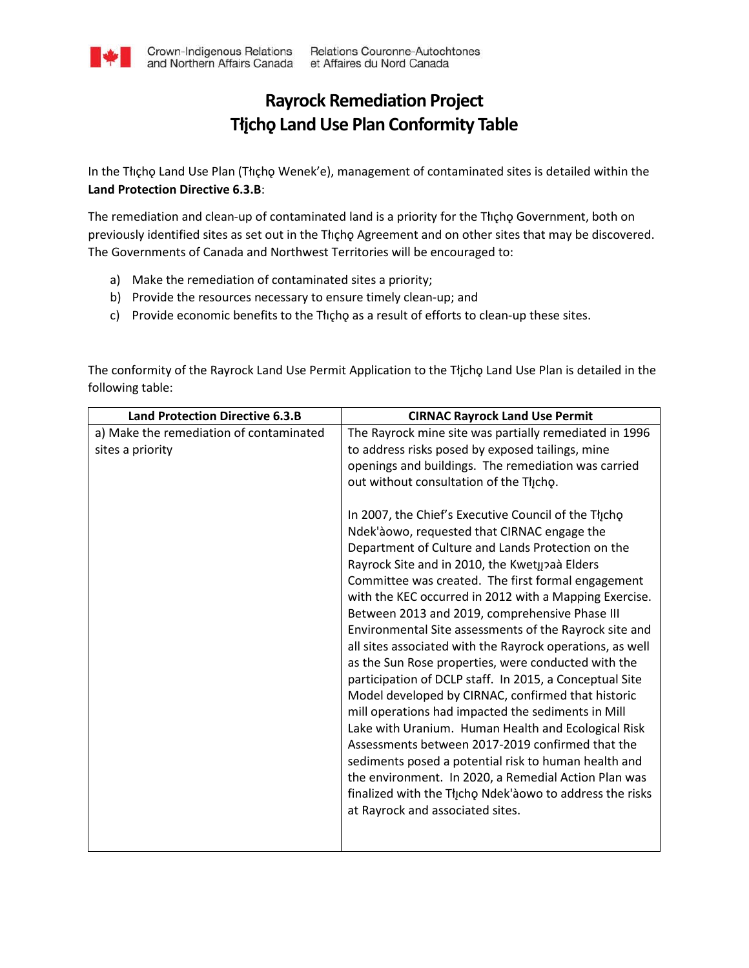## **Rayrock Remediation Project Tłįchǫ Land Use Plan Conformity Table**

In the Tłıçhǫ Land Use Plan (Tłıçho Wenek'e), management of contaminated sites is detailed within the **Land Protection Directive 6.3.B**:

The remediation and clean-up of contaminated land is a priority for the Tłıcho Government, both on previously identified sites as set out in the Thcho Agreement and on other sites that may be discovered. The Governments of Canada and Northwest Territories will be encouraged to:

- a) Make the remediation of contaminated sites a priority;
- b) Provide the resources necessary to ensure timely clean-up; and
- c) Provide economic benefits to the Thicho as a result of efforts to clean-up these sites.

The conformity of the Rayrock Land Use Permit Application to the Tłjcho Land Use Plan is detailed in the following table:

| <b>Land Protection Directive 6.3.B</b>  | <b>CIRNAC Rayrock Land Use Permit</b>                                                               |
|-----------------------------------------|-----------------------------------------------------------------------------------------------------|
| a) Make the remediation of contaminated | The Rayrock mine site was partially remediated in 1996                                              |
| sites a priority                        | to address risks posed by exposed tailings, mine                                                    |
|                                         | openings and buildings. The remediation was carried                                                 |
|                                         | out without consultation of the Thicho.                                                             |
|                                         | In 2007, the Chief's Executive Council of the Tłįcho<br>Ndek'àowo, requested that CIRNAC engage the |
|                                         | Department of Culture and Lands Protection on the                                                   |
|                                         | Rayrock Site and in 2010, the Kwetµ?aà Elders                                                       |
|                                         | Committee was created. The first formal engagement                                                  |
|                                         | with the KEC occurred in 2012 with a Mapping Exercise.                                              |
|                                         | Between 2013 and 2019, comprehensive Phase III                                                      |
|                                         | Environmental Site assessments of the Rayrock site and                                              |
|                                         | all sites associated with the Rayrock operations, as well                                           |
|                                         | as the Sun Rose properties, were conducted with the                                                 |
|                                         | participation of DCLP staff. In 2015, a Conceptual Site                                             |
|                                         | Model developed by CIRNAC, confirmed that historic                                                  |
|                                         | mill operations had impacted the sediments in Mill                                                  |
|                                         | Lake with Uranium. Human Health and Ecological Risk                                                 |
|                                         | Assessments between 2017-2019 confirmed that the                                                    |
|                                         | sediments posed a potential risk to human health and                                                |
|                                         | the environment. In 2020, a Remedial Action Plan was                                                |
|                                         | finalized with the Thicho Ndek'aowo to address the risks                                            |
|                                         | at Rayrock and associated sites.                                                                    |
|                                         |                                                                                                     |
|                                         |                                                                                                     |